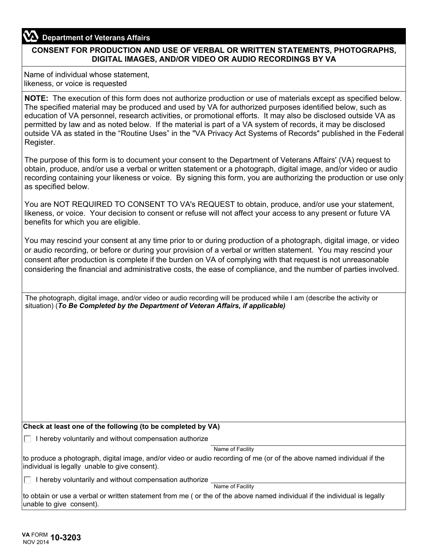## **Department of Veterans Affairs**

## **CONSENT FOR PRODUCTION AND USE OF VERBAL OR WRITTEN STATEMENTS, PHOTOGRAPHS, DIGITAL IMAGES, AND/OR VIDEO OR AUDIO RECORDINGS BY VA**

Name of individual whose statement, likeness, or voice is requested

**NOTE:** The execution of this form does not authorize production or use of materials except as specified below. The specified material may be produced and used by VA for authorized purposes identified below, such as education of VA personnel, research activities, or promotional efforts. It may also be disclosed outside VA as permitted by law and as noted below. If the material is part of a VA system of records, it may be disclosed outside VA as stated in the "Routine Uses" in the "VA Privacy Act Systems of Records" published in the Federal Register.

The purpose of this form is to document your consent to the Department of Veterans Affairs' (VA) request to obtain, produce, and/or use a verbal or written statement or a photograph, digital image, and/or video or audio recording containing your likeness or voice. By signing this form, you are authorizing the production or use only as specified below.

You are NOT REQUIRED TO CONSENT TO VA's REQUEST to obtain, produce, and/or use your statement, likeness, or voice. Your decision to consent or refuse will not affect your access to any present or future VA benefits for which you are eligible.

You may rescind your consent at any time prior to or during production of a photograph, digital image, or video or audio recording, or before or during your provision of a verbal or written statement. You may rescind your consent after production is complete if the burden on VA of complying with that request is not unreasonable considering the financial and administrative costs, the ease of compliance, and the number of parties involved.

The photograph, digital image, and/or video or audio recording will be produced while I am (describe the activity or situation) (*To Be Completed by the Department of Veteran Affairs, if applicable)*

## **Check at least one of the following (to be completed by VA)**

 $\Box$  I hereby voluntarily and without compensation authorize

Name of Facility

to produce a photograph, digital image, and/or video or audio recording of me (or of the above named individual if the individual is legally unable to give consent).

 $\Box$  I hereby voluntarily and without compensation authorize

Name of Facility

to obtain or use a verbal or written statement from me ( or the of the above named individual if the individual is legally unable to give consent).